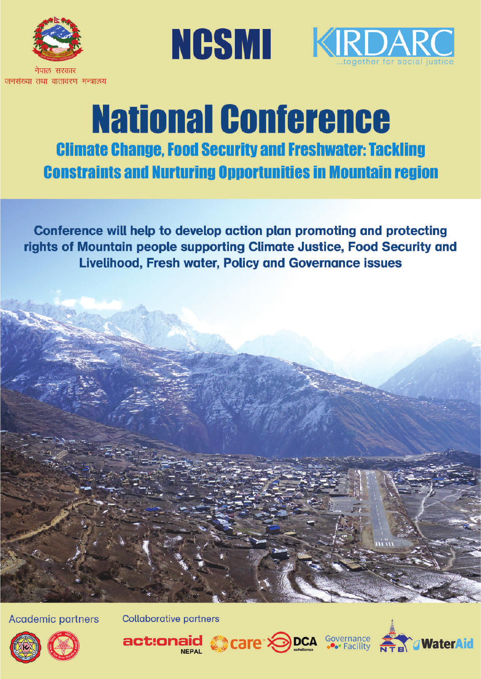

नेपाल सरकार जनसंख्या तथा वातावरण मन्त्रालय





# **National Conference Climate Change, Food Security and Freshwater: Tackling Constraints and Nurturing Opportunities in Mountain region**

Conference will help to develop action plan promoting and protecting rights of Mountain people supporting Climate Justice, Food Security and **Livelihood, Fresh water, Policy and Governance issues** 

**Academic partners** 

**Collaborative partners**